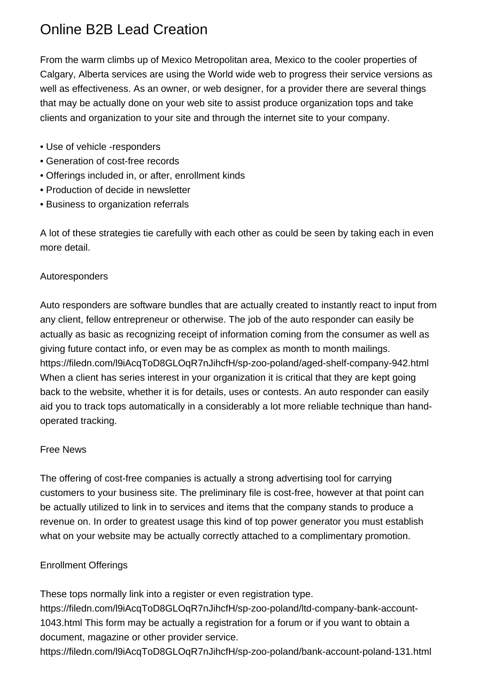# Online B2B Lead Creation

From the warm climbs up of Mexico Metropolitan area, Mexico to the cooler properties of Calgary, Alberta services are using the World wide web to progress their service versions as well as effectiveness. As an owner, or web designer, for a provider there are several things that may be actually done on your web site to assist produce organization tops and take clients and organization to your site and through the internet site to your company.

- Use of vehicle -responders
- Generation of cost-free records
- Offerings included in, or after, enrollment kinds
- Production of decide in newsletter
- Business to organization referrals

A lot of these strategies tie carefully with each other as could be seen by taking each in even more detail.

## Autoresponders

Auto responders are software bundles that are actually created to instantly react to input from any client, fellow entrepreneur or otherwise. The job of the auto responder can easily be actually as basic as recognizing receipt of information coming from the consumer as well as giving future contact info, or even may be as complex as month to month mailings. <https://filedn.com/l9iAcqToD8GLOqR7nJihcfH/sp-zoo-poland/aged-shelf-company-942.html> When a client has series interest in your organization it is critical that they are kept going back to the website, whether it is for details, uses or contests. An auto responder can easily aid you to track tops automatically in a considerably a lot more reliable technique than handoperated tracking.

#### Free News

The offering of cost-free companies is actually a strong advertising tool for carrying customers to your business site. The preliminary file is cost-free, however at that point can be actually utilized to link in to services and items that the company stands to produce a revenue on. In order to greatest usage this kind of top power generator you must establish what on your website may be actually correctly attached to a complimentary promotion.

#### Enrollment Offerings

These tops normally link into a register or even registration type.

[https://filedn.com/l9iAcqToD8GLOqR7nJihcfH/sp-zoo-poland/ltd-company-bank-account-](https://filedn.com/l9iAcqToD8GLOqR7nJihcfH/sp-zoo-poland/ltd-company-bank-account-1043.html)[1043.html](https://filedn.com/l9iAcqToD8GLOqR7nJihcfH/sp-zoo-poland/ltd-company-bank-account-1043.html) This form may be actually a registration for a forum or if you want to obtain a document, magazine or other provider service.

<https://filedn.com/l9iAcqToD8GLOqR7nJihcfH/sp-zoo-poland/bank-account-poland-131.html>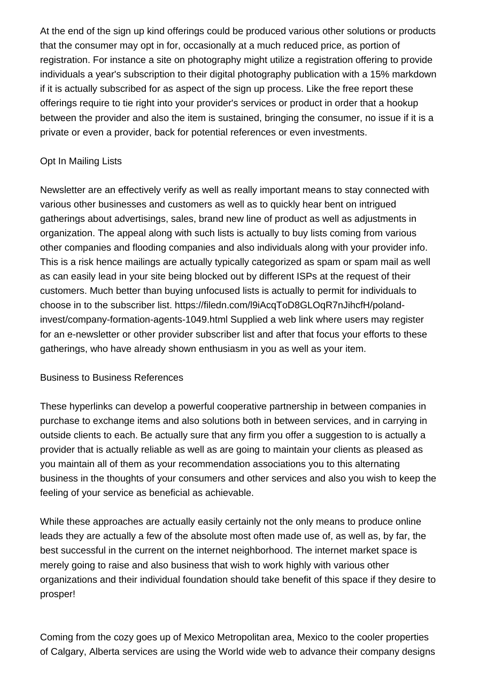At the end of the sign up kind offerings could be produced various other solutions or products that the consumer may opt in for, occasionally at a much reduced price, as portion of registration. For instance a site on photography might utilize a registration offering to provide individuals a year's subscription to their digital photography publication with a 15% markdown if it is actually subscribed for as aspect of the sign up process. Like the free report these offerings require to tie right into your provider's services or product in order that a hookup between the provider and also the item is sustained, bringing the consumer, no issue if it is a private or even a provider, back for potential references or even investments.

### Opt In Mailing Lists

Newsletter are an effectively verify as well as really important means to stay connected with various other businesses and customers as well as to quickly hear bent on intrigued gatherings about advertisings, sales, brand new line of product as well as adjustments in organization. The appeal along with such lists is actually to buy lists coming from various other companies and flooding companies and also individuals along with your provider info. This is a risk hence mailings are actually typically categorized as spam or spam mail as well as can easily lead in your site being blocked out by different ISPs at the request of their customers. Much better than buying unfocused lists is actually to permit for individuals to choose in to the subscriber list. [https://filedn.com/l9iAcqToD8GLOqR7nJihcfH/poland](https://filedn.com/l9iAcqToD8GLOqR7nJihcfH/poland-invest/company-formation-agents-1049.html)[invest/company-formation-agents-1049.html](https://filedn.com/l9iAcqToD8GLOqR7nJihcfH/poland-invest/company-formation-agents-1049.html) Supplied a web link where users may register for an e-newsletter or other provider subscriber list and after that focus your efforts to these gatherings, who have already shown enthusiasm in you as well as your item.

#### Business to Business References

These hyperlinks can develop a powerful cooperative partnership in between companies in purchase to exchange items and also solutions both in between services, and in carrying in outside clients to each. Be actually sure that any firm you offer a suggestion to is actually a provider that is actually reliable as well as are going to maintain your clients as pleased as you maintain all of them as your recommendation associations you to this alternating business in the thoughts of your consumers and other services and also you wish to keep the feeling of your service as beneficial as achievable.

While these approaches are actually easily certainly not the only means to produce online leads they are actually a few of the absolute most often made use of, as well as, by far, the best successful in the current on the internet neighborhood. The internet market space is merely going to raise and also business that wish to work highly with various other organizations and their individual foundation should take benefit of this space if they desire to prosper!

Coming from the cozy goes up of Mexico Metropolitan area, Mexico to the cooler properties of Calgary, Alberta services are using the World wide web to advance their company designs